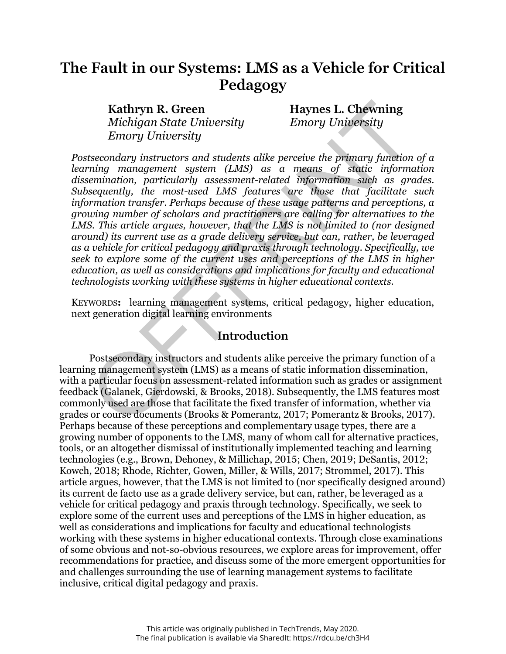# **The Fault in our Systems: LMS as a Vehicle for Critical Pedagogy**

**Kathryn R. Green** Haynes L. Chewning *Michigan State University Emory University Emory University*

Kathryn R. Green<br>
Haynes L. Chewning<br>
Michigan State University<br>
Emory University<br>
Emory University<br>
Emory University<br>
tesecondary instructors and students alike perceive the primary function<br>
rring management system. (LMS *Postsecondary instructors and students alike perceive the primary function of a learning management system (LMS) as a means of static information dissemination, particularly assessment-related information such as grades. Subsequently, the most-used LMS features are those that facilitate such information transfer. Perhaps because of these usage patterns and perceptions, a growing number of scholars and practitioners are calling for alternatives to the LMS. This article argues, however, that the LMS is not limited to (nor designed around) its current use as a grade delivery service, but can, rather, be leveraged as a vehicle for critical pedagogy and praxis through technology. Specifically, we seek to explore some of the current uses and perceptions of the LMS in higher education, as well as considerations and implications for faculty and educational technologists working with these systems in higher educational contexts.*

KEYWORDS**:** learning management systems, critical pedagogy, higher education, next generation digital learning environments

### **Introduction**

Postsecondary instructors and students alike perceive the primary function of a learning management system (LMS) as a means of static information dissemination, with a particular focus on assessment-related information such as grades or assignment feedback (Galanek, Gierdowski, & Brooks, 2018). Subsequently, the LMS features most commonly used are those that facilitate the fixed transfer of information, whether via grades or course documents (Brooks & Pomerantz, 2017; Pomerantz & Brooks, 2017). Perhaps because of these perceptions and complementary usage types, there are a growing number of opponents to the LMS, many of whom call for alternative practices, tools, or an altogether dismissal of institutionally implemented teaching and learning technologies (e.g., Brown, Dehoney, & Millichap, 2015; Chen, 2019; DeSantis, 2012; Kowch, 2018; Rhode, Richter, Gowen, Miller, & Wills, 2017; Strommel, 2017). This article argues, however, that the LMS is not limited to (nor specifically designed around) its current de facto use as a grade delivery service, but can, rather, be leveraged as a vehicle for critical pedagogy and praxis through technology. Specifically, we seek to explore some of the current uses and perceptions of the LMS in higher education, as well as considerations and implications for faculty and educational technologists working with these systems in higher educational contexts. Through close examinations of some obvious and not-so-obvious resources, we explore areas for improvement, offer recommendations for practice, and discuss some of the more emergent opportunities for and challenges surrounding the use of learning management systems to facilitate inclusive, critical digital pedagogy and praxis.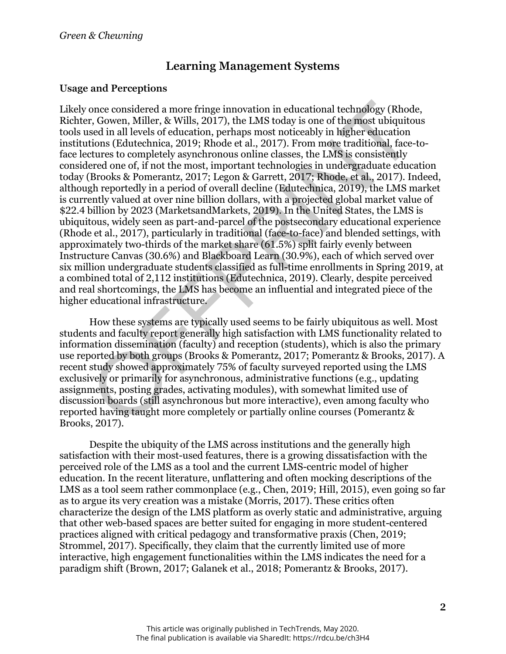## **Learning Management Systems**

#### **Usage and Perceptions**

once considered a more fringe innovation in educational technology (Rhod sised and sised and thence,  $\kappa$  Gowen, Miller, & Wills, 2017), the LMS today is one of the most ubiquitof<br>tions (Edutechnica, 2019; Rhode et al., Likely once considered a more fringe innovation in educational technology (Rhode, Richter, Gowen, Miller, & Wills, 2017), the LMS today is one of the most ubiquitous tools used in all levels of education, perhaps most noticeably in higher education institutions (Edutechnica, 2019; Rhode et al., 2017). From more traditional, face-toface lectures to completely asynchronous online classes, the LMS is consistently considered one of, if not the most, important technologies in undergraduate education today (Brooks & Pomerantz, 2017; Legon & Garrett, 2017; Rhode, et al., 2017). Indeed, although reportedly in a period of overall decline (Edutechnica, 2019), the LMS market is currently valued at over nine billion dollars, with a projected global market value of \$22.4 billion by 2023 (MarketsandMarkets, 2019). In the United States, the LMS is ubiquitous, widely seen as part-and-parcel of the postsecondary educational experience (Rhode et al., 2017), particularly in traditional (face-to-face) and blended settings, with approximately two-thirds of the market share (61.5%) split fairly evenly between Instructure Canvas (30.6%) and Blackboard Learn (30.9%), each of which served over six million undergraduate students classified as full-time enrollments in Spring 2019, at a combined total of 2,112 institutions (Edutechnica, 2019). Clearly, despite perceived and real shortcomings, the LMS has become an influential and integrated piece of the higher educational infrastructure.

How these systems are typically used seems to be fairly ubiquitous as well. Most students and faculty report generally high satisfaction with LMS functionality related to information dissemination (faculty) and reception (students), which is also the primary use reported by both groups (Brooks & Pomerantz, 2017; Pomerantz & Brooks, 2017). A recent study showed approximately 75% of faculty surveyed reported using the LMS exclusively or primarily for asynchronous, administrative functions (e.g., updating assignments, posting grades, activating modules), with somewhat limited use of discussion boards (still asynchronous but more interactive), even among faculty who reported having taught more completely or partially online courses (Pomerantz & Brooks, 2017).

Despite the ubiquity of the LMS across institutions and the generally high satisfaction with their most-used features, there is a growing dissatisfaction with the perceived role of the LMS as a tool and the current LMS-centric model of higher education. In the recent literature, unflattering and often mocking descriptions of the LMS as a tool seem rather commonplace (e.g., Chen, 2019; Hill, 2015), even going so far as to argue its very creation was a mistake (Morris, 2017). These critics often characterize the design of the LMS platform as overly static and administrative, arguing that other web-based spaces are better suited for engaging in more student-centered practices aligned with critical pedagogy and transformative praxis (Chen, 2019; Strommel, 2017). Specifically, they claim that the currently limited use of more interactive, high engagement functionalities within the LMS indicates the need for a paradigm shift (Brown, 2017; Galanek et al., 2018; Pomerantz & Brooks, 2017).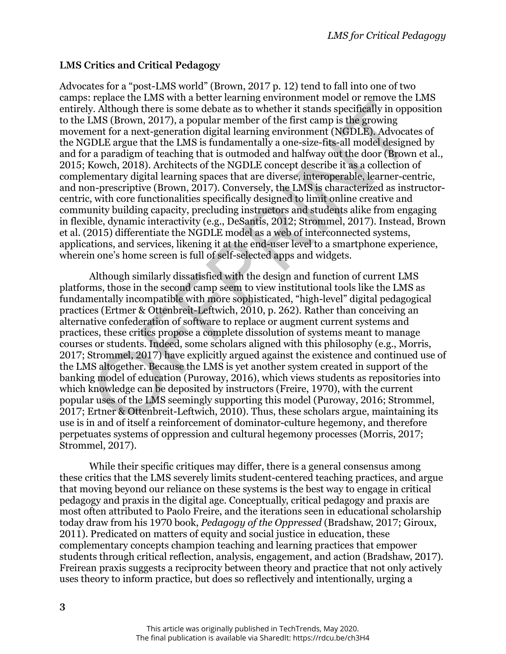#### **LMS Critics and Critical Pedagogy**

r, ypaces are now may computed the map sinuction and specifically in opposition. 2017), a popular member of the first camp is the growing ment for a next-generation digital learning environment (NGDLE B). Advocat BDLE argu Advocates for a "post-LMS world" (Brown, 2017 p. 12) tend to fall into one of two camps: replace the LMS with a better learning environment model or remove the LMS entirely. Although there is some debate as to whether it stands specifically in opposition to the LMS (Brown, 2017), a popular member of the first camp is the growing movement for a next-generation digital learning environment (NGDLE). Advocates of the NGDLE argue that the LMS is fundamentally a one-size-fits-all model designed by and for a paradigm of teaching that is outmoded and halfway out the door (Brown et al., 2015; Kowch, 2018). Architects of the NGDLE concept describe it as a collection of complementary digital learning spaces that are diverse, interoperable, learner-centric, and non-prescriptive (Brown, 2017). Conversely, the LMS is characterized as instructorcentric, with core functionalities specifically designed to limit online creative and community building capacity, precluding instructors and students alike from engaging in flexible, dynamic interactivity (e.g., DeSantis, 2012; Strommel, 2017). Instead, Brown et al. (2015) differentiate the NGDLE model as a web of interconnected systems, applications, and services, likening it at the end-user level to a smartphone experience, wherein one's home screen is full of self-selected apps and widgets.

Although similarly dissatisfied with the design and function of current LMS platforms, those in the second camp seem to view institutional tools like the LMS as fundamentally incompatible with more sophisticated, "high-level" digital pedagogical practices (Ertmer & Ottenbreit-Leftwich, 2010, p. 262). Rather than conceiving an alternative confederation of software to replace or augment current systems and practices, these critics propose a complete dissolution of systems meant to manage courses or students. Indeed, some scholars aligned with this philosophy (e.g., Morris, 2017; Strommel, 2017) have explicitly argued against the existence and continued use of the LMS altogether. Because the LMS is yet another system created in support of the banking model of education (Puroway, 2016), which views students as repositories into which knowledge can be deposited by instructors (Freire, 1970), with the current popular uses of the LMS seemingly supporting this model (Puroway, 2016; Strommel, 2017; Ertner & Ottenbreit-Leftwich, 2010). Thus, these scholars argue, maintaining its use is in and of itself a reinforcement of dominator-culture hegemony, and therefore perpetuates systems of oppression and cultural hegemony processes (Morris, 2017; Strommel, 2017).

While their specific critiques may differ, there is a general consensus among these critics that the LMS severely limits student-centered teaching practices, and argue that moving beyond our reliance on these systems is the best way to engage in critical pedagogy and praxis in the digital age. Conceptually, critical pedagogy and praxis are most often attributed to Paolo Freire, and the iterations seen in educational scholarship today draw from his 1970 book, *Pedagogy of the Oppressed* (Bradshaw, 2017; Giroux, 2011). Predicated on matters of equity and social justice in education, these complementary concepts champion teaching and learning practices that empower students through critical reflection, analysis, engagement, and action (Bradshaw, 2017). Freirean praxis suggests a reciprocity between theory and practice that not only actively uses theory to inform practice, but does so reflectively and intentionally, urging a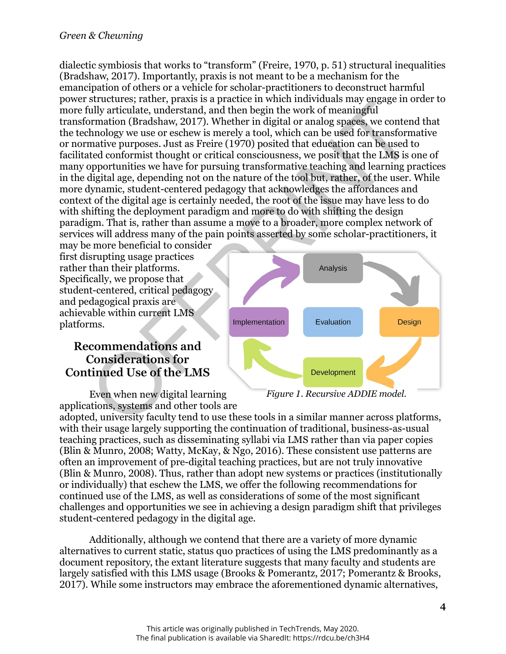structures, ration, pracs is a practice in which must material than the mean of the transformation (Bradshaw, 2017). Whether in digital or analog spaces, we contend the bulk of the significal or analog spaces, we contend t dialectic symbiosis that works to "transform" (Freire, 1970, p. 51) structural inequalities (Bradshaw, 2017). Importantly, praxis is not meant to be a mechanism for the emancipation of others or a vehicle for scholar-practitioners to deconstruct harmful power structures; rather, praxis is a practice in which individuals may engage in order to more fully articulate, understand, and then begin the work of meaningful transformation (Bradshaw, 2017). Whether in digital or analog spaces, we contend that the technology we use or eschew is merely a tool, which can be used for transformative or normative purposes. Just as Freire (1970) posited that education can be used to facilitated conformist thought or critical consciousness, we posit that the LMS is one of many opportunities we have for pursuing transformative teaching and learning practices in the digital age, depending not on the nature of the tool but, rather, of the user. While more dynamic, student-centered pedagogy that acknowledges the affordances and context of the digital age is certainly needed, the root of the issue may have less to do with shifting the deployment paradigm and more to do with shifting the design paradigm. That is, rather than assume a move to a broader, more complex network of services will address many of the pain points asserted by some scholar-practitioners, it

may be more beneficial to consider first disrupting usage practices rather than their platforms. Specifically, we propose that student-centered, critical pedagogy and pedagogical praxis are achievable within current LMS platforms.

# **Recommendations and Considerations for Continued Use of the LMS**

*Figure 1. Recursive ADDIE model.*

Even when new digital learning applications, systems and other tools are

adopted, university faculty tend to use these tools in a similar manner across platforms, with their usage largely supporting the continuation of traditional, business-as-usual teaching practices, such as disseminating syllabi via LMS rather than via paper copies (Blin & Munro, 2008; Watty, McKay, & Ngo, 2016). These consistent use patterns are often an improvement of pre-digital teaching practices, but are not truly innovative (Blin & Munro, 2008). Thus, rather than adopt new systems or practices (institutionally or individually) that eschew the LMS, we offer the following recommendations for continued use of the LMS, as well as considerations of some of the most significant challenges and opportunities we see in achieving a design paradigm shift that privileges student-centered pedagogy in the digital age.

Additionally, although we contend that there are a variety of more dynamic alternatives to current static, status quo practices of using the LMS predominantly as a document repository, the extant literature suggests that many faculty and students are largely satisfied with this LMS usage (Brooks & Pomerantz, 2017; Pomerantz & Brooks, 2017). While some instructors may embrace the aforementioned dynamic alternatives,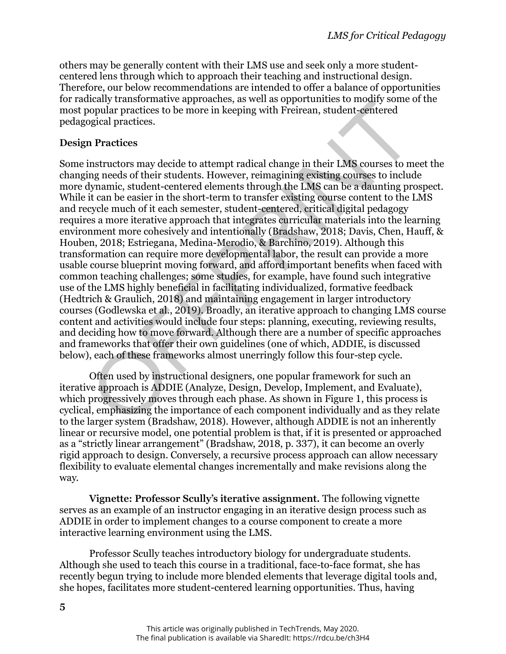others may be generally content with their LMS use and seek only a more studentcentered lens through which to approach their teaching and instructional design. Therefore, our below recommendations are intended to offer a balance of opportunities for radically transformative approaches, as well as opportunities to modify some of the most popular practices to be more in keeping with Freirean, student-centered pedagogical practices.

#### **Design Practices**

neary transformative approaches, as were as opportunines to moday somethed propular practices to be more in keeping with Freirean, student-centered ogical practices.<br> **n** Practices to be more in keeping with Freirean, stud Some instructors may decide to attempt radical change in their LMS courses to meet the changing needs of their students. However, reimagining existing courses to include more dynamic, student-centered elements through the LMS can be a daunting prospect. While it can be easier in the short-term to transfer existing course content to the LMS and recycle much of it each semester, student-centered, critical digital pedagogy requires a more iterative approach that integrates curricular materials into the learning environment more cohesively and intentionally (Bradshaw, 2018; Davis, Chen, Hauff, & Houben, 2018; Estriegana, Medina-Merodio, & Barchino, 2019). Although this transformation can require more developmental labor, the result can provide a more usable course blueprint moving forward, and afford important benefits when faced with common teaching challenges; some studies, for example, have found such integrative use of the LMS highly beneficial in facilitating individualized, formative feedback (Hedtrich & Graulich, 2018) and maintaining engagement in larger introductory courses (Godlewska et al., 2019). Broadly, an iterative approach to changing LMS course content and activities would include four steps: planning, executing, reviewing results, and deciding how to move forward. Although there are a number of specific approaches and frameworks that offer their own guidelines (one of which, ADDIE, is discussed below), each of these frameworks almost unerringly follow this four-step cycle.

Often used by instructional designers, one popular framework for such an iterative approach is ADDIE (Analyze, Design, Develop, Implement, and Evaluate), which progressively moves through each phase. As shown in Figure 1, this process is cyclical, emphasizing the importance of each component individually and as they relate to the larger system (Bradshaw, 2018). However, although ADDIE is not an inherently linear or recursive model, one potential problem is that, if it is presented or approached as a "strictly linear arrangement" (Bradshaw, 2018, p. 337), it can become an overly rigid approach to design. Conversely, a recursive process approach can allow necessary flexibility to evaluate elemental changes incrementally and make revisions along the way.

**Vignette: Professor Scully's iterative assignment.** The following vignette serves as an example of an instructor engaging in an iterative design process such as ADDIE in order to implement changes to a course component to create a more interactive learning environment using the LMS.

Professor Scully teaches introductory biology for undergraduate students. Although she used to teach this course in a traditional, face-to-face format, she has recently begun trying to include more blended elements that leverage digital tools and, she hopes, facilitates more student-centered learning opportunities. Thus, having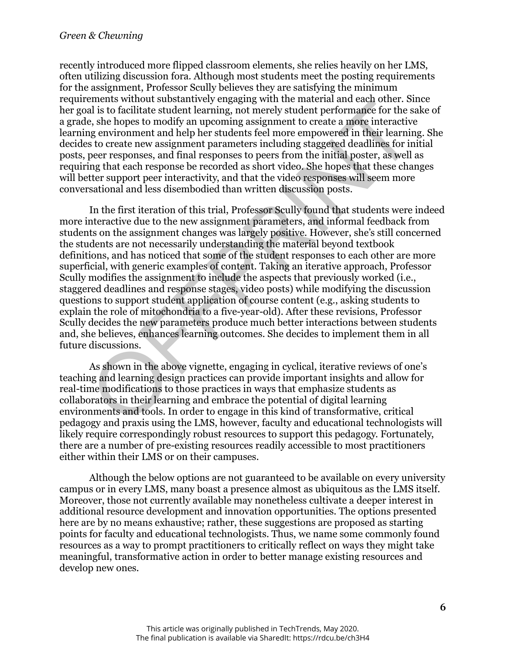recently introduced more flipped classroom elements, she relies heavily on her LMS, often utilizing discussion fora. Although most students meet the posting requirements for the assignment, Professor Scully believes they are satisfying the minimum requirements without substantively engaging with the material and each other. Since her goal is to facilitate student learning, not merely student performance for the sake of a grade, she hopes to modify an upcoming assignment to create a more interactive learning environment and help her students feel more empowered in their learning. She decides to create new assignment parameters including staggered deadlines for initial posts, peer responses, and final responses to peers from the initial poster, as well as requiring that each response be recorded as short video. She hopes that these changes will better support peer interactivity, and that the video responses will seem more conversational and less disembodied than written discussion posts.

ements winnout substantively engaging with one metaer are accounted. So the lead in the controlled at the controlled at the controlled at the controlled at the controlled at the controlled at the controlled at the controll In the first iteration of this trial, Professor Scully found that students were indeed more interactive due to the new assignment parameters, and informal feedback from students on the assignment changes was largely positive. However, she's still concerned the students are not necessarily understanding the material beyond textbook definitions, and has noticed that some of the student responses to each other are more superficial, with generic examples of content. Taking an iterative approach, Professor Scully modifies the assignment to include the aspects that previously worked (i.e., staggered deadlines and response stages, video posts) while modifying the discussion questions to support student application of course content (e.g., asking students to explain the role of mitochondria to a five-year-old). After these revisions, Professor Scully decides the new parameters produce much better interactions between students and, she believes, enhances learning outcomes. She decides to implement them in all future discussions.

As shown in the above vignette, engaging in cyclical, iterative reviews of one's teaching and learning design practices can provide important insights and allow for real-time modifications to those practices in ways that emphasize students as collaborators in their learning and embrace the potential of digital learning environments and tools. In order to engage in this kind of transformative, critical pedagogy and praxis using the LMS, however, faculty and educational technologists will likely require correspondingly robust resources to support this pedagogy. Fortunately, there are a number of pre-existing resources readily accessible to most practitioners either within their LMS or on their campuses.

Although the below options are not guaranteed to be available on every university campus or in every LMS, many boast a presence almost as ubiquitous as the LMS itself. Moreover, those not currently available may nonetheless cultivate a deeper interest in additional resource development and innovation opportunities. The options presented here are by no means exhaustive; rather, these suggestions are proposed as starting points for faculty and educational technologists. Thus, we name some commonly found resources as a way to prompt practitioners to critically reflect on ways they might take meaningful, transformative action in order to better manage existing resources and develop new ones.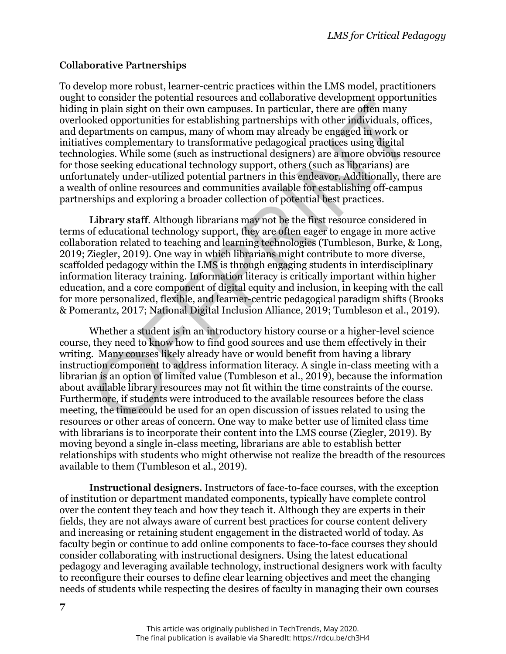#### **Collaborative Partnerships**

concerative procedual realibiting partimers and concept and the concept and the inplain sight on their own campuses. In particular, there are often many of the inflaviolal opportunities for establishing partnerships with o To develop more robust, learner-centric practices within the LMS model, practitioners ought to consider the potential resources and collaborative development opportunities hiding in plain sight on their own campuses. In particular, there are often many overlooked opportunities for establishing partnerships with other individuals, offices, and departments on campus, many of whom may already be engaged in work or initiatives complementary to transformative pedagogical practices using digital technologies. While some (such as instructional designers) are a more obvious resource for those seeking educational technology support, others (such as librarians) are unfortunately under-utilized potential partners in this endeavor. Additionally, there are a wealth of online resources and communities available for establishing off-campus partnerships and exploring a broader collection of potential best practices.

**Library staff***.* Although librarians may not be the first resource considered in terms of educational technology support, they are often eager to engage in more active collaboration related to teaching and learning technologies (Tumbleson, Burke, & Long, 2019; Ziegler, 2019). One way in which librarians might contribute to more diverse, scaffolded pedagogy within the LMS is through engaging students in interdisciplinary information literacy training. Information literacy is critically important within higher education, and a core component of digital equity and inclusion, in keeping with the call for more personalized, flexible, and learner-centric pedagogical paradigm shifts (Brooks & Pomerantz, 2017; National Digital Inclusion Alliance, 2019; Tumbleson et al., 2019).

Whether a student is in an introductory history course or a higher-level science course, they need to know how to find good sources and use them effectively in their writing. Many courses likely already have or would benefit from having a library instruction component to address information literacy. A single in-class meeting with a librarian is an option of limited value (Tumbleson et al., 2019), because the information about available library resources may not fit within the time constraints of the course. Furthermore, if students were introduced to the available resources before the class meeting, the time could be used for an open discussion of issues related to using the resources or other areas of concern. One way to make better use of limited class time with librarians is to incorporate their content into the LMS course (Ziegler, 2019). By moving beyond a single in-class meeting, librarians are able to establish better relationships with students who might otherwise not realize the breadth of the resources available to them (Tumbleson et al., 2019).

**Instructional designers.** Instructors of face-to-face courses, with the exception of institution or department mandated components, typically have complete control over the content they teach and how they teach it. Although they are experts in their fields, they are not always aware of current best practices for course content delivery and increasing or retaining student engagement in the distracted world of today. As faculty begin or continue to add online components to face-to-face courses they should consider collaborating with instructional designers. Using the latest educational pedagogy and leveraging available technology, instructional designers work with faculty to reconfigure their courses to define clear learning objectives and meet the changing needs of students while respecting the desires of faculty in managing their own courses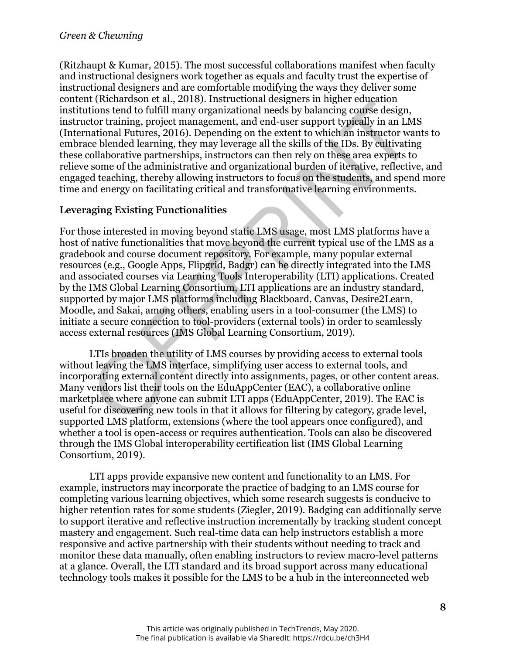(Ritzhaupt & Kumar, 2015). The most successful collaborations manifest when faculty and instructional designers work together as equals and faculty trust the expertise of instructional designers and are comfortable modifying the ways they deliver some content (Richardson et al., 2018). Instructional designers in higher education institutions tend to fulfill many organizational needs by balancing course design, instructor training, project management, and end-user support typically in an LMS (International Futures, 2016). Depending on the extent to which an instructor wants to embrace blended learning, they may leverage all the skills of the IDs. By cultivating these collaborative partnerships, instructors can then rely on these area experts to relieve some of the administrative and organizational burden of iterative, reflective, and engaged teaching, thereby allowing instructors to focus on the students, and spend more time and energy on facilitating critical and transformative learning environments.

### **Leveraging Existing Functionalities**

ret (storiates) reading may propriate that it is the current to the current total and to fulfill many organizational needs by balancing course design, the total and to fulfill many organizational needs by balancing course For those interested in moving beyond static LMS usage, most LMS platforms have a host of native functionalities that move beyond the current typical use of the LMS as a gradebook and course document repository. For example, many popular external resources (e.g., Google Apps, Flipgrid, Badgr) can be directly integrated into the LMS and associated courses via Learning Tools Interoperability (LTI) applications. Created by the IMS Global Learning Consortium, LTI applications are an industry standard, supported by major LMS platforms including Blackboard, Canvas, Desire2Learn, Moodle, and Sakai, among others, enabling users in a tool-consumer (the LMS) to initiate a secure connection to tool-providers (external tools) in order to seamlessly access external resources (IMS Global Learning Consortium, 2019).

LTIs broaden the utility of LMS courses by providing access to external tools without leaving the LMS interface, simplifying user access to external tools, and incorporating external content directly into assignments, pages, or other content areas. Many vendors list their tools on the EduAppCenter (EAC), a collaborative online marketplace where anyone can submit LTI apps (EduAppCenter, 2019). The EAC is useful for discovering new tools in that it allows for filtering by category, grade level, supported LMS platform, extensions (where the tool appears once configured), and whether a tool is open-access or requires authentication. Tools can also be discovered through the IMS Global interoperability certification list (IMS Global Learning Consortium, 2019).

LTI apps provide expansive new content and functionality to an LMS. For example, instructors may incorporate the practice of badging to an LMS course for completing various learning objectives, which some research suggests is conducive to higher retention rates for some students (Ziegler, 2019). Badging can additionally serve to support iterative and reflective instruction incrementally by tracking student concept mastery and engagement. Such real-time data can help instructors establish a more responsive and active partnership with their students without needing to track and monitor these data manually, often enabling instructors to review macro-level patterns at a glance. Overall, the LTI standard and its broad support across many educational technology tools makes it possible for the LMS to be a hub in the interconnected web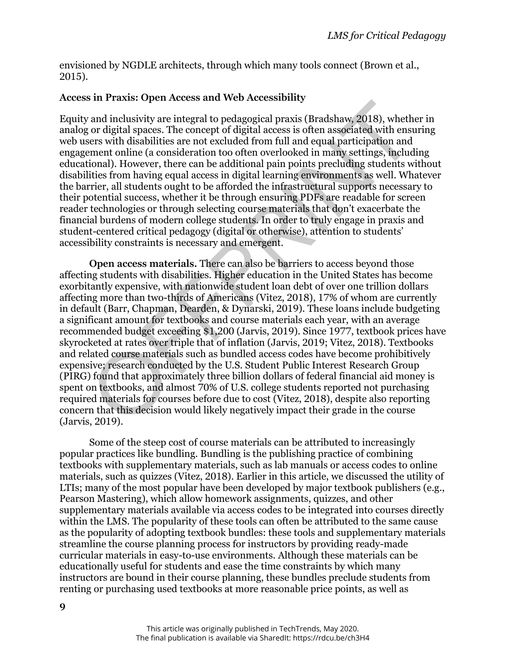envisioned by NGDLE architects, through which many tools connect (Brown et al., 2015).

### **Access in Praxis: Open Access and Web Accessibility**

Equity and inclusivity are integral to pedagogical praxis (Bradshaw, 2018), whether in analog or digital spaces. The concept of digital access is often associated with ensuring web users with disabilities are not excluded from full and equal participation and engagement online (a consideration too often overlooked in many settings, including educational). However, there can be additional pain points precluding students without disabilities from having equal access in digital learning environments as well. Whatever the barrier, all students ought to be afforded the infrastructural supports necessary to their potential success, whether it be through ensuring PDFs are readable for screen reader technologies or through selecting course materials that don't exacerbate the financial burdens of modern college students. In order to truly engage in praxis and student-centered critical pedagogy (digital or otherwise), attention to students' accessibility constraints is necessary and emergent.

r and inclusivity are integral to pedagogical praxis (Bradshaw, 2018), wheth<br>and inclusivity are integral to pedagogical praxis (Bradshaw, 2018), wheth<br>or or digital spaces. The concept of digital access is often associate **Open access materials.** There can also be barriers to access beyond those affecting students with disabilities. Higher education in the United States has become exorbitantly expensive, with nationwide student loan debt of over one trillion dollars affecting more than two-thirds of Americans (Vitez, 2018), 17% of whom are currently in default (Barr, Chapman, Dearden, & Dynarski, 2019). These loans include budgeting a significant amount for textbooks and course materials each year, with an average recommended budget exceeding \$1,200 (Jarvis, 2019). Since 1977, textbook prices have skyrocketed at rates over triple that of inflation (Jarvis, 2019; Vitez, 2018). Textbooks and related course materials such as bundled access codes have become prohibitively expensive; research conducted by the U.S. Student Public Interest Research Group (PIRG) found that approximately three billion dollars of federal financial aid money is spent on textbooks, and almost 70% of U.S. college students reported not purchasing required materials for courses before due to cost (Vitez, 2018), despite also reporting concern that this decision would likely negatively impact their grade in the course (Jarvis, 2019).

Some of the steep cost of course materials can be attributed to increasingly popular practices like bundling. Bundling is the publishing practice of combining textbooks with supplementary materials, such as lab manuals or access codes to online materials, such as quizzes (Vitez, 2018). Earlier in this article, we discussed the utility of LTIs; many of the most popular have been developed by major textbook publishers (e.g., Pearson Mastering), which allow homework assignments, quizzes, and other supplementary materials available via access codes to be integrated into courses directly within the LMS. The popularity of these tools can often be attributed to the same cause as the popularity of adopting textbook bundles: these tools and supplementary materials streamline the course planning process for instructors by providing ready-made curricular materials in easy-to-use environments. Although these materials can be educationally useful for students and ease the time constraints by which many instructors are bound in their course planning, these bundles preclude students from renting or purchasing used textbooks at more reasonable price points, as well as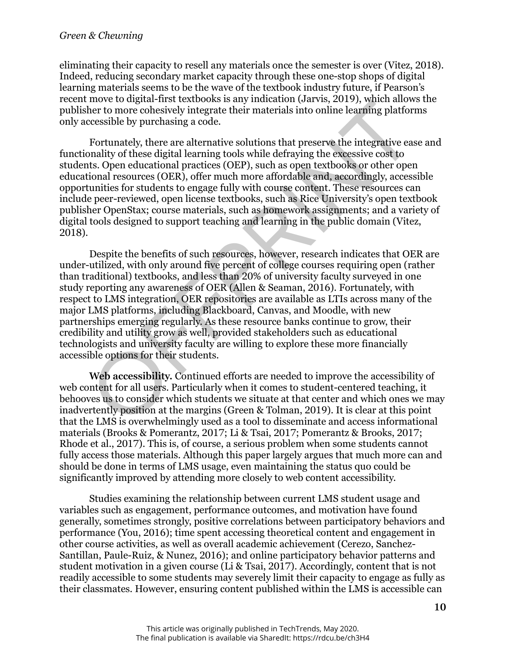eliminating their capacity to resell any materials once the semester is over (Vitez, 2018). Indeed, reducing secondary market capacity through these one-stop shops of digital learning materials seems to be the wave of the textbook industry future, if Pearson's recent move to digital-first textbooks is any indication (Jarvis, 2019), which allows the publisher to more cohesively integrate their materials into online learning platforms only accessible by purchasing a code.

Fortunately, there are alternative solutions that preserve the integrative ease and functionality of these digital learning tools while defraying the excessive cost to students. Open educational practices (OEP), such as open textbooks or other open educational resources (OER), offer much more affordable and, accordingly, accessible opportunities for students to engage fully with course content. These resources can include peer-reviewed, open license textbooks, such as Rice University's open textbook publisher OpenStax; course materials, such as homework assignments; and a variety of digital tools designed to support teaching and learning in the public domain (Vitez, 2018).

move to uguar-nist ecutions is any intendant out was, 2017), when an<br>owe to more cohesively integrate their materials into online learning platfor<br>cressible by purchasing a code.<br>Fortunately, there are alternative solution Despite the benefits of such resources, however, research indicates that OER are under-utilized, with only around five percent of college courses requiring open (rather than traditional) textbooks, and less than 20% of university faculty surveyed in one study reporting any awareness of OER (Allen & Seaman, 2016). Fortunately, with respect to LMS integration, OER repositories are available as LTIs across many of the major LMS platforms, including Blackboard, Canvas, and Moodle, with new partnerships emerging regularly. As these resource banks continue to grow, their credibility and utility grow as well, provided stakeholders such as educational technologists and university faculty are willing to explore these more financially accessible options for their students.

**Web accessibility.** Continued efforts are needed to improve the accessibility of web content for all users. Particularly when it comes to student-centered teaching, it behooves us to consider which students we situate at that center and which ones we may inadvertently position at the margins (Green & Tolman, 2019). It is clear at this point that the LMS is overwhelmingly used as a tool to disseminate and access informational materials (Brooks & Pomerantz, 2017; Li & Tsai, 2017; Pomerantz & Brooks, 2017; Rhode et al., 2017). This is, of course, a serious problem when some students cannot fully access those materials. Although this paper largely argues that much more can and should be done in terms of LMS usage, even maintaining the status quo could be significantly improved by attending more closely to web content accessibility.

Studies examining the relationship between current LMS student usage and variables such as engagement, performance outcomes, and motivation have found generally, sometimes strongly, positive correlations between participatory behaviors and performance (You, 2016); time spent accessing theoretical content and engagement in other course activities, as well as overall academic achievement (Cerezo, Sanchez-Santillan, Paule-Ruiz, & Nunez, 2016); and online participatory behavior patterns and student motivation in a given course (Li & Tsai, 2017). Accordingly, content that is not readily accessible to some students may severely limit their capacity to engage as fully as their classmates. However, ensuring content published within the LMS is accessible can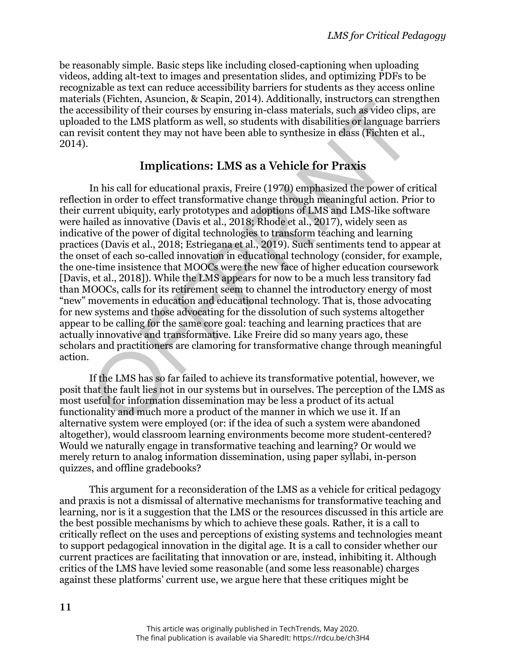be reasonably simple. Basic steps like including closed-captioning when uploading videos, adding alt-text to images and presentation slides, and optimizing PDFs to be recognizable as text can reduce accessibility barriers for students as they access online materials (Fichten, Asuncion, & Scapin, 2014). Additionally, instructors can strengthen the accessibility of their courses by ensuring in-class materials, such as video clips, are uploaded to the LMS platform as well, so students with disabilities or language barriers can revisit content they may not have been able to synthesize in class (Fichten et al., 2014).

## **Implications: LMS as a Vehicle for Praxis**

and screame, Assuedon, Screame, The antention and screame and screame sessibility of their courses by ensuring in-claass materials, such as video clips<br>ded to the LMS platform as well, so students with disabilities or lang In his call for educational praxis, Freire (1970) emphasized the power of critical reflection in order to effect transformative change through meaningful action. Prior to their current ubiquity, early prototypes and adoptions of LMS and LMS-like software were hailed as innovative (Davis et al., 2018; Rhode et al., 2017), widely seen as indicative of the power of digital technologies to transform teaching and learning practices (Davis et al., 2018; Estriegana et al., 2019). Such sentiments tend to appear at the onset of each so-called innovation in educational technology (consider, for example, the one-time insistence that MOOCs were the new face of higher education coursework [Davis, et al., 2018]). While the LMS appears for now to be a much less transitory fad than MOOCs, calls for its retirement seem to channel the introductory energy of most "new" movements in education and educational technology. That is, those advocating for new systems and those advocating for the dissolution of such systems altogether appear to be calling for the same core goal: teaching and learning practices that are actually innovative and transformative. Like Freire did so many years ago, these scholars and practitioners are clamoring for transformative change through meaningful action.

If the LMS has so far failed to achieve its transformative potential, however, we posit that the fault lies not in our systems but in ourselves. The perception of the LMS as most useful for information dissemination may be less a product of its actual functionality and much more a product of the manner in which we use it. If an alternative system were employed (or: if the idea of such a system were abandoned altogether), would classroom learning environments become more student-centered? Would we naturally engage in transformative teaching and learning? Or would we merely return to analog information dissemination, using paper syllabi, in-person quizzes, and offline gradebooks?

This argument for a reconsideration of the LMS as a vehicle for critical pedagogy and praxis is not a dismissal of alternative mechanisms for transformative teaching and learning, nor is it a suggestion that the LMS or the resources discussed in this article are the best possible mechanisms by which to achieve these goals. Rather, it is a call to critically reflect on the uses and perceptions of existing systems and technologies meant to support pedagogical innovation in the digital age. It is a call to consider whether our current practices are facilitating that innovation or are, instead, inhibiting it. Although critics of the LMS have levied some reasonable (and some less reasonable) charges against these platforms' current use, we argue here that these critiques might be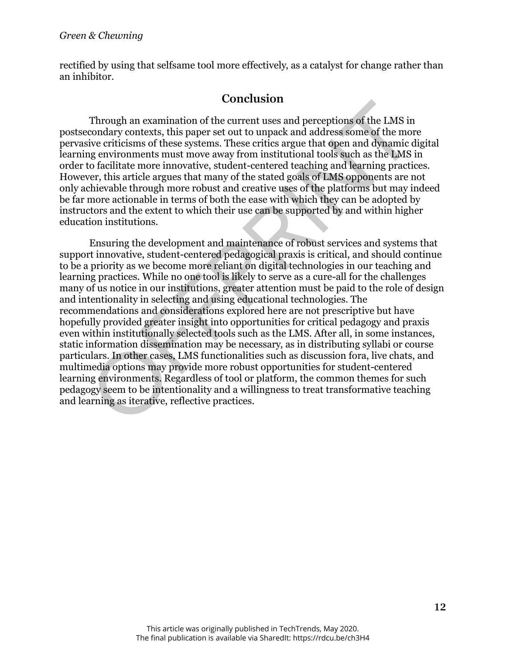rectified by using that selfsame tool more effectively, as a catalyst for change rather than an inhibitor.

# **Conclusion**

Through an examination of the current uses and perceptions of the LMS in postsecondary contexts, this paper set out to unpack and address some of the more pervasive criticisms of these systems. These critics argue that open and dynamic digital learning environments must move away from institutional tools such as the LMS in order to facilitate more innovative, student-centered teaching and learning practices. However, this article argues that many of the stated goals of LMS opponents are not only achievable through more robust and creative uses of the platforms but may indeed be far more actionable in terms of both the ease with which they can be adopted by instructors and the extent to which their use can be supported by and within higher education institutions.

Through an examination of the current uses and perceptions of the LMS in<br>condary contexts, this paper set out to unpack and dedress some of the mo<br>sive criticisms of these systems. These critics argue that open and dynamic Ensuring the development and maintenance of robust services and systems that support innovative, student-centered pedagogical praxis is critical, and should continue to be a priority as we become more reliant on digital technologies in our teaching and learning practices. While no one tool is likely to serve as a cure-all for the challenges many of us notice in our institutions, greater attention must be paid to the role of design and intentionality in selecting and using educational technologies. The recommendations and considerations explored here are not prescriptive but have hopefully provided greater insight into opportunities for critical pedagogy and praxis even within institutionally selected tools such as the LMS. After all, in some instances, static information dissemination may be necessary, as in distributing syllabi or course particulars. In other cases, LMS functionalities such as discussion fora, live chats, and multimedia options may provide more robust opportunities for student-centered learning environments. Regardless of tool or platform, the common themes for such pedagogy seem to be intentionality and a willingness to treat transformative teaching and learning as iterative, reflective practices.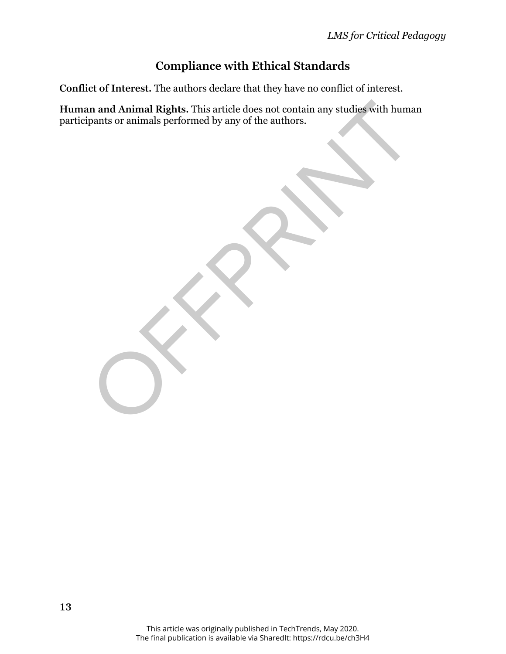# **Compliance with Ethical Standards**

**Conflict of Interest.** The authors declare that they have no conflict of interest.

an and Animal Rights. This article does not contain any studies with humants or animals performed by any of the authors. **Human and Animal Rights.** This article does not contain any studies with human participants or animals performed by any of the authors.

> This article was originally published in TechTrends, May 2020. The final publication is available via SharedIt: https://rdcu.be/ch3H4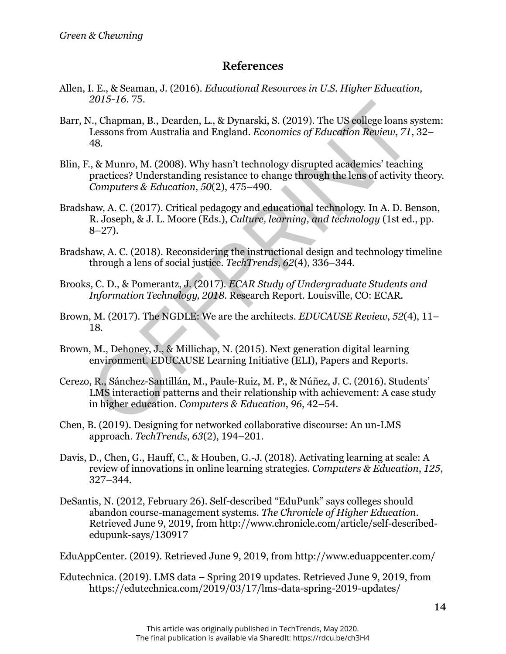### **References**

- Allen, I. E., & Seaman, J. (2016). *Educational Resources in U.S. Higher Education, 2015-16*. 75.
- Barr, N., Chapman, B., Dearden, L., & Dynarski, S. (2019). The US college loans system: Lessons from Australia and England. *Economics of Education Review*, *71*, 32– 48.
- Blin, F., & Munro, M. (2008). Why hasn't technology disrupted academics' teaching practices? Understanding resistance to change through the lens of activity theory. *Computers & Education*, *50*(2), 475–490.
- Bradshaw, A. C. (2017). Critical pedagogy and educational technology. In A. D. Benson, R. Joseph, & J. L. Moore (Eds.), *Culture, learning, and technology* (1st ed., pp.  $8 - 27$ ).
- Bradshaw, A. C. (2018). Reconsidering the instructional design and technology timeline through a lens of social justice. *TechTrends*, *62*(4), 336–344.
- Brooks, C. D., & Pomerantz, J. (2017). *ECAR Study of Undergraduate Students and Information Technology, 2018*. Research Report. Louisville, CO: ECAR.
- Brown, M. (2017). The NGDLE: We are the architects. *EDUCAUSE Review*, *52*(4), 11– 18.
- Brown, M., Dehoney, J., & Millichap, N. (2015). Next generation digital learning environment. EDUCAUSE Learning Initiative (ELI), Papers and Reports.
- 2010-10.75.<br>
N., Chapman, B., Dearden, L., & Dynarski, S. (2019). The US college loans<br>
1.6850ns from Australia and England. *Economics of Education Review*, 71,<br>
1.8850ns from Australia and England. *Economics of Educatio* Cerezo, R., Sánchez-Santillán, M., Paule-Ruiz, M. P., & Núñez, J. C. (2016). Students' LMS interaction patterns and their relationship with achievement: A case study in higher education. *Computers & Education*, *96*, 42–54.
- Chen, B. (2019). Designing for networked collaborative discourse: An un-LMS approach. *TechTrends*, *63*(2), 194–201.
- Davis, D., Chen, G., Hauff, C., & Houben, G.-J. (2018). Activating learning at scale: A review of innovations in online learning strategies. *Computers & Education*, *125*, 327–344.
- DeSantis, N. (2012, February 26). Self-described "EduPunk" says colleges should abandon course-management systems. *The Chronicle of Higher Education*. Retrieved June 9, 2019, from http://www.chronicle.com/article/self-describededupunk-says/130917

EduAppCenter. (2019). Retrieved June 9, 2019, from http://www.eduappcenter.com/

Edutechnica. (2019). LMS data – Spring 2019 updates. Retrieved June 9, 2019, from https://edutechnica.com/2019/03/17/lms-data-spring-2019-updates/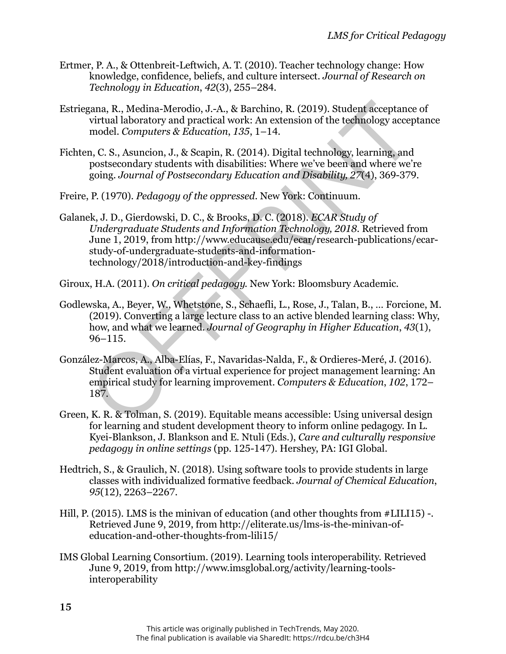- Ertmer, P. A., & Ottenbreit-Leftwich, A. T. (2010). Teacher technology change: How knowledge, confidence, beliefs, and culture intersect. *Journal of Research on Technology in Education*, *42*(3), 255–284.
- Estriegana, R., Medina-Merodio, J.-A., & Barchino, R. (2019). Student acceptance of virtual laboratory and practical work: An extension of the technology acceptance model. *Computers & Education*, *135*, 1–14.
- Fichten, C. S., Asuncion, J., & Scapin, R. (2014). Digital technology, learning, and postsecondary students with disabilities: Where we've been and where we're going. *Journal of Postsecondary Education and Disability, 27*(4), 369-379.
- Freire, P. (1970). *Pedagogy of the oppressed.* New York: Continuum.
- gana, R., Medina-Merodio, J.-A., & Barchino, R. (2019). Student acceptance<br>virtual laboratory and practical work: An extension of the technology acceptore<br>model. Computers & Education, 135, 1–14.<br>m, R. S., Asuncion, J., & Galanek, J. D., Gierdowski, D. C., & Brooks, D. C. (2018). *ECAR Study of Undergraduate Students and Information Technology, 2018*. Retrieved from June 1, 2019, from http://www.educause.edu/ecar/research-publications/ecarstudy-of-undergraduate-students-and-informationtechnology/2018/introduction-and-key-findings
- Giroux, H.A. (2011). *On critical pedagogy.* New York: Bloomsbury Academic.
- Godlewska, A., Beyer, W., Whetstone, S., Schaefli, L., Rose, J., Talan, B., … Forcione, M. (2019). Converting a large lecture class to an active blended learning class: Why, how, and what we learned. *Journal of Geography in Higher Education*, *43*(1), 96–115.
- González-Marcos, A., Alba-Elías, F., Navaridas-Nalda, F., & Ordieres-Meré, J. (2016). Student evaluation of a virtual experience for project management learning: An empirical study for learning improvement. *Computers & Education*, *102*, 172– 187.
- Green, K. R. & Tolman, S. (2019). Equitable means accessible: Using universal design for learning and student development theory to inform online pedagogy. In L. Kyei-Blankson, J. Blankson and E. Ntuli (Eds.), *Care and culturally responsive pedagogy in online settings* (pp. 125-147). Hershey, PA: IGI Global.
- Hedtrich, S., & Graulich, N. (2018). Using software tools to provide students in large classes with individualized formative feedback. *Journal of Chemical Education*, *95*(12), 2263–2267.
- Hill, P. (2015). LMS is the minivan of education (and other thoughts from #LILI15) -. Retrieved June 9, 2019, from http://eliterate.us/lms-is-the-minivan-ofeducation-and-other-thoughts-from-lili15/
- IMS Global Learning Consortium. (2019). Learning tools interoperability. Retrieved June 9, 2019, from http://www.imsglobal.org/activity/learning-toolsinteroperability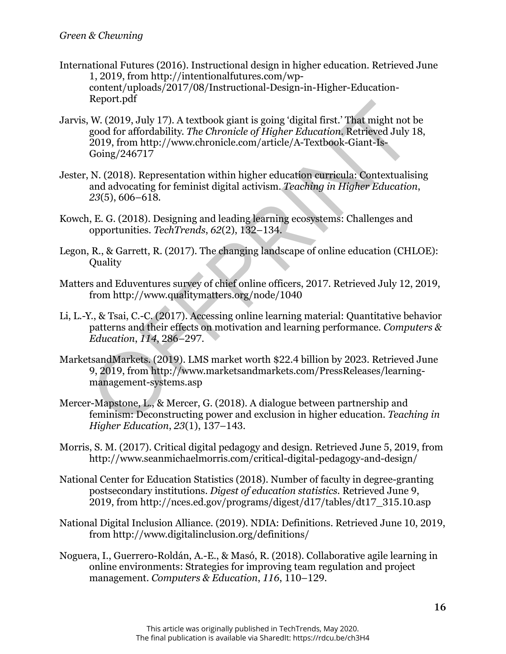- International Futures (2016). Instructional design in higher education. Retrieved June 1, 2019, from http://intentionalfutures.com/wpcontent/uploads/2017/08/Instructional-Design-in-Higher-Education-Report.pdf
- Report.pur<br>
(W. (2019, July 17). A textbook giant is going 'digital first.' That might not<br>
good for affordability. The Chronicle of Higher Education, Retrieved July 1<br>
2019, from http://www.chronicle.com/article/A-Textbo Jarvis, W. (2019, July 17). A textbook giant is going 'digital first.' That might not be good for affordability. *The Chronicle of Higher Education*. Retrieved July 18, 2019, from http://www.chronicle.com/article/A-Textbook-Giant-Is-Going/246717
- Jester, N. (2018). Representation within higher education curricula: Contextualising and advocating for feminist digital activism. *Teaching in Higher Education*, *23*(5), 606–618.
- Kowch, E. G. (2018). Designing and leading learning ecosystems: Challenges and opportunities. *TechTrends*, *62*(2), 132–134.
- Legon, R., & Garrett, R. (2017). The changing landscape of online education (CHLOE): **Ouality**
- Matters and Eduventures survey of chief online officers, 2017. Retrieved July 12, 2019, from http://www.qualitymatters.org/node/1040
- Li, L.-Y., & Tsai, C.-C. (2017). Accessing online learning material: Quantitative behavior patterns and their effects on motivation and learning performance. *Computers & Education*, *114*, 286–297.
- MarketsandMarkets. (2019). LMS market worth \$22.4 billion by 2023. Retrieved June 9, 2019, from http://www.marketsandmarkets.com/PressReleases/learningmanagement-systems.asp
- Mercer-Mapstone, L., & Mercer, G. (2018). A dialogue between partnership and feminism: Deconstructing power and exclusion in higher education. *Teaching in Higher Education*, *23*(1), 137–143.
- Morris, S. M. (2017). Critical digital pedagogy and design. Retrieved June 5, 2019, from http://www.seanmichaelmorris.com/critical-digital-pedagogy-and-design/
- National Center for Education Statistics (2018). Number of faculty in degree-granting postsecondary institutions. *Digest of education statistics.* Retrieved June 9, 2019, from http://nces.ed.gov/programs/digest/d17/tables/dt17\_315.10.asp
- National Digital Inclusion Alliance. (2019). NDIA: Definitions. Retrieved June 10, 2019, from http://www.digitalinclusion.org/definitions/
- Noguera, I., Guerrero-Roldán, A.-E., & Masó, R. (2018). Collaborative agile learning in online environments: Strategies for improving team regulation and project management. *Computers & Education*, *116*, 110–129.